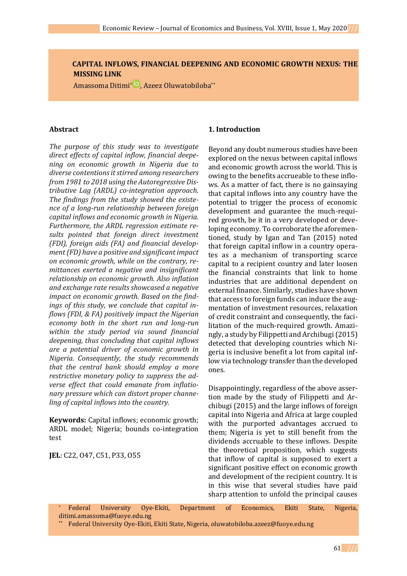**CAPITAL INFLOWS, FINANCIAL DEEPENING AND ECONOMIC GROWTH NEXUS: THE MISSING LINK**

Amassoma Ditimi[\\*](https://orcid.org/0000-0003-4684-7007) , Azeez Oluwatobiloba\*\*

#### **Abstract**

*The purpose of this study was to investigate direct effects of capital inflow, financial deepening on economic growth in Nigeria due to diverse contentions it stirred among researchers from 1981 to 2018 using the Autoregressive Distributive Lag (ARDL) co-integration approach. The findings from the study showed the existence of a long-run relationship between foreign capital inflows and economic growth in Nigeria. Furthermore, the ARDL regression estimate results pointed that foreign direct investment (FDI), foreign aids (FA) and financial development (FD) have a positive and significant impact on economic growth, while on the contrary, remittances exerted a negative and insignificant relationship on economic growth. Also inflation and exchange rate results showcased a negative impact on economic growth. Based on the findings of this study, we conclude that capital inflows (FDI, & FA) positively impact the Nigerian economy both in the short run and long-run within the study period via sound financial deepening, thus concluding that capital inflows are a potential driver of economic growth in Nigeria. Consequently, the study recommends that the central bank should employ a more restrictive monetary policy to suppress the adverse effect that could emanate from inflationary pressure which can distort proper channeling of capital inflows into the country.* 

**Keywords:** Capital inflows; economic growth; ARDL model; Nigeria; bounds co-integration test

**JEL**: C22, O47, C51, P33, O55

### **1. Introduction**

Beyond any doubt numerous studies have been explored on the nexus between capital inflows and economic growth across the world. This is owing to the benefits accrueable to these inflows. As a matter of fact, there is no gainsaying that capital inflows into any country have the potential to trigger the process of economic development and guarantee the much-required growth, be it in a very developed or developing economy. To corroborate the aforementioned, study by Igan and Tan (2015) noted that foreign capital inflow in a country operates as a mechanism of transporting scarce capital to a recipient country and later loosen the financial constraints that link to home industries that are additional dependent on external finance. Similarly, studies have shown that access to foreign funds can induce the augmentation of investment resources, relaxation of credit constraint and consequently, the facilitation of the much-required growth. Amazingly, a study by Filippetti and Archibugi (2015) detected that developing countries which Nigeria is inclusive benefit a lot from capital inflow via technology transfer than the developed ones.

Disappointingly, regardless of the above assertion made by the study of Filippetti and Archibugi (2015) and the large inflows of foreign capital into Nigeria and Africa at large coupled with the purported advantages accrued to them; Nigeria is yet to still benefit from the dividends accruable to these inflows. Despite the theoretical proposition, which suggests that inflow of capital is supposed to exert a significant positive effect on economic growth and development of the recipient country. It is in this wise that several studies have paid sharp attention to unfold the principal causes

Federal University Oye-Ekiti, Department of Economics, Ekiti State, Nigeria, ditimi.amassoma@fuoye.edu.ng

\*\* Federal University Oye-Ekiti, Ekiti State, Nigeria, [oluwatobiloba.azeez@fuoye.edu.ng](mailto:oluwatobiloba.azeez@fuoye.edu.ng)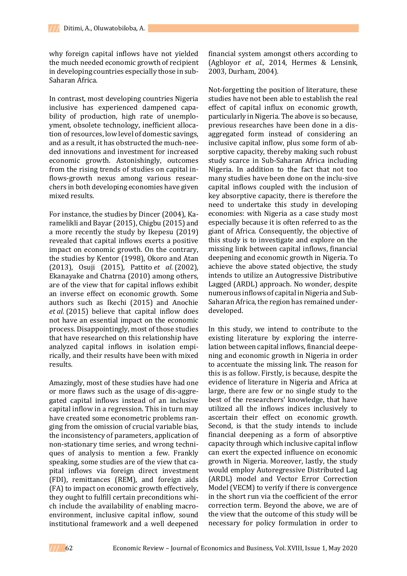why foreign capital inflows have not yielded the much needed economic growth of recipient in developing countries especially those in sub-Saharan Africa.

In contrast, most developing countries Nigeria inclusive has experienced dampened capability of production, high rate of unemployment, obsolete technology, inefficient allocation of resources, low level of domestic savings, and as a result, it has obstructed the much-needed innovations and investment for increased economic growth. Astonishingly, outcomes from the rising trends of studies on capital inflows-growth nexus among various researchers in both developing economies have given mixed results.

For instance, the studies by Dincer (2004), Karamelikli and Bayar (2015), Chigbu (2015) and a more recently the study by Ikepesu (2019) revealed that capital inflows exerts a positive impact on economic growth. On the contrary, the studies by Kentor (1998), Okoro and Atan (2013), Osuji (2015), Pattito *et al.* (2002), Ekanayake and Chatrna (2010) among others, are of the view that for capital inflows exhibit an inverse effect on economic growth. Some authors such as Ikechi (2015) and Anochie *et al.* (2015) believe that capital inflow does not have an essential impact on the economic process. Disappointingly, most of those studies that have researched on this relationship have analyzed capital inflows in isolation empirically, and their results have been with mixed results.

Amazingly, most of these studies have had one or more flaws such as the usage of dis-aggregated capital inflows instead of an inclusive capital inflow in a regression. This in turn may have created some econometric problems ranging from the omission of crucial variable bias, the inconsistency of parameters, application of non-stationary time series, and wrong techniques of analysis to mention a few. Frankly speaking, some studies are of the view that capital inflows via foreign direct investment (FDI), remittances (REM), and foreign aids (FA) to impact on economic growth effectively, they ought to fulfill certain preconditions which include the availability of enabling macroenvironment, inclusive capital inflow, sound institutional framework and a well deepened

financial system amongst others according to (Agbloyor *et al*., 2014, Hermes & Lensink, 2003, Durham, 2004).

Not-forgetting the position of literature, these studies have not been able to establish the real effect of capital influx on economic growth, particularly in Nigeria. The above is so because, previous researches have been done in a disaggregated form instead of considering an inclusive capital inflow, plus some form of absorptive capacity, thereby making such robust study scarce in Sub-Saharan Africa including Nigeria. In addition to the fact that not too many studies have been done on the inclu-sive capital inflows coupled with the inclusion of key absorptive capacity, there is therefore the need to undertake this study in developing economies: with Nigeria as a case study most especially because it is often referred to as the giant of Africa. Consequently, the objective of this study is to investigate and explore on the missing link between capital inflows, financial deepening and economic growth in Nigeria. To achieve the above stated objective, the study intends to utilize an Autogressive Distributive Lagged (ARDL) approach. No wonder, despite numerous inflows of capital in Nigeria and Sub-Saharan Africa, the region has remained underdeveloped.

In this study, we intend to contribute to the existing literature by exploring the interrelation between capital inflows, financial deepening and economic growth in Nigeria in order to accentuate the missing link. The reason for this is as follow. Firstly, is because, despite the evidence of literature in Nigeria and Africa at large, there are few or no single study to the best of the researchers' knowledge, that have utilized all the inflows indices inclusively to ascertain their effect on economic growth. Second, is that the study intends to include financial deepening as a form of absorptive capacity through which inclusive capital inflow can exert the expected influence on economic growth in Nigeria. Moreover, lastly, the study would employ Autoregressive Distributed Lag (ARDL) model and Vector Error Correction Model (VECM) to verify if there is convergence in the short run via the coefficient of the error correction term. Beyond the above, we are of the view that the outcome of this study will be necessary for policy formulation in order to

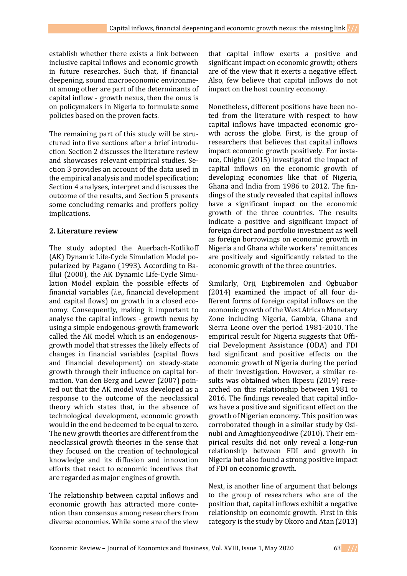establish whether there exists a link between inclusive capital inflows and economic growth in future researches. Such that, if financial deepening, sound macroeconomic environment among other are part of the determinants of capital inflow - growth nexus, then the onus is on policymakers in Nigeria to formulate some policies based on the proven facts.

The remaining part of this study will be structured into five sections after a brief introduction. Section 2 discusses the literature review and showcases relevant empirical studies. Section 3 provides an account of the data used in the empirical analysis and model specification; Section 4 analyses, interpret and discusses the outcome of the results, and Section 5 presents some concluding remarks and proffers policy implications.

### **2. Literature review**

The study adopted the Auerbach-Kotlikoff (AK) Dynamic Life-Cycle Simulation Model popularized by Pagano (1993). According to Baillui (2000), the AK Dynamic Life-Cycle Simulation Model explain the possible effects of financial variables (*i.e*., financial development and capital flows) on growth in a closed economy. Consequently, making it important to analyse the capital inflows - growth nexus by using a simple endogenous-growth framework called the AK model which is an endogenousgrowth model that stresses the likely effects of changes in financial variables (capital flows and financial development) on steady-state growth through their influence on capital formation. Van den Berg and Lewer (2007) pointed out that the AK model was developed as a response to the outcome of the neoclassical theory which states that, in the absence of technological development, economic growth would in the end be deemed to be equal to zero. The new growth theories are different from the neoclassical growth theories in the sense that they focused on the creation of technological knowledge and its diffusion and innovation efforts that react to economic incentives that are regarded as major engines of growth.

The relationship between capital inflows and economic growth has attracted more contention than consensus among researchers from diverse economies. While some are of the view

that capital inflow exerts a positive and significant impact on economic growth; others are of the view that it exerts a negative effect. Also, few believe that capital inflows do not impact on the host country economy.

Nonetheless, different positions have been noted from the literature with respect to how capital inflows have impacted economic growth across the globe. First, is the group of researchers that believes that capital inflows impact economic growth positively. For instance, Chigbu (2015) investigated the impact of capital inflows on the economic growth of developing economies like that of Nigeria, Ghana and India from 1986 to 2012. The findings of the study revealed that capital inflows have a significant impact on the economic growth of the three countries. The results indicate a positive and significant impact of foreign direct and portfolio investment as well as foreign borrowings on economic growth in Nigeria and Ghana while workers' remittances are positively and significantly related to the economic growth of the three countries.

Similarly, Orji, Eigbiremolen and Ogbuabor (2014) examined the impact of all four different forms of foreign capital inflows on the economic growth of the West African Monetary Zone including Nigeria, Gambia, Ghana and Sierra Leone over the period 1981-2010. The empirical result for Nigeria suggests that Official Development Assistance (ODA) and FDI had significant and positive effects on the economic growth of Nigeria during the period of their investigation. However, a similar results was obtained when Ikpesu (2019) researched on this relationship between 1981 to 2016. The findings revealed that capital inflows have a positive and significant effect on the growth of Nigerian economy. This position was corroborated though in a similar study by Osinubi and Amaghionyeodiwe (2010). Their empirical results did not only reveal a long-run relationship between FDI and growth in Nigeria but also found a strong positive impact of FDI on economic growth.

Next, is another line of argument that belongs to the group of researchers who are of the position that, capital inflows exhibit a negative relationship on economic growth. First in this category is the study by Okoro and Atan (2013)

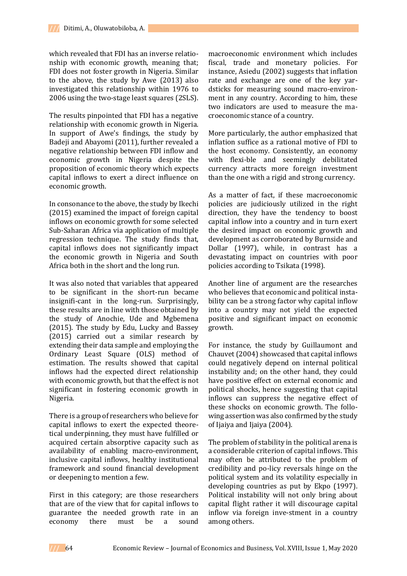which revealed that FDI has an inverse relationship with economic growth, meaning that; FDI does not foster growth in Nigeria. Similar to the above, the study by Awe (2013) also investigated this relationship within 1976 to 2006 using the two-stage least squares (2SLS).

The results pinpointed that FDI has a negative relationship with economic growth in Nigeria. In support of Awe's findings, the study by Badeji and Abayomi (2011), further revealed a negative relationship between FDI inflow and economic growth in Nigeria despite the proposition of economic theory which expects capital inflows to exert a direct influence on economic growth.

In consonance to the above, the study by Ikechi (2015) examined the impact of foreign capital inflows on economic growth for some selected Sub-Saharan Africa via application of multiple regression technique. The study finds that, capital inflows does not significantly impact the economic growth in Nigeria and South Africa both in the short and the long run.

It was also noted that variables that appeared to be significant in the short-run became insignifi-cant in the long-run. Surprisingly, these results are in line with those obtained by the study of Anochie, Ude and Mgbemena (2015). The study by Edu, Lucky and Bassey (2015) carried out a similar research by extending their data sample and employing the Ordinary Least Square (OLS) method of estimation. The results showed that capital inflows had the expected direct relationship with economic growth, but that the effect is not significant in fostering economic growth in Nigeria.

There is a group of researchers who believe for capital inflows to exert the expected theoretical underpinning, they must have fulfilled or acquired certain absorptive capacity such as availability of enabling macro-environment, inclusive capital inflows, healthy institutional framework and sound financial development or deepening to mention a few.

First in this category; are those researchers that are of the view that for capital inflows to guarantee the needed growth rate in an economy there must be a sound

macroeconomic environment which includes fiscal, trade and monetary policies. For instance, Asiedu (2002) suggests that inflation rate and exchange are one of the key yardsticks for measuring sound macro-environment in any country. According to him, these two indicators are used to measure the macroeconomic stance of a country.

More particularly, the author emphasized that inflation suffice as a rational motive of FDI to the host economy. Consistently, an economy with flexi-ble and seemingly debilitated currency attracts more foreign investment than the one with a rigid and strong currency.

As a matter of fact, if these macroeconomic policies are judiciously utilized in the right direction, they have the tendency to boost capital inflow into a country and in turn exert the desired impact on economic growth and development as corroborated by Burnside and Dollar (1997), while, in contrast has a devastating impact on countries with poor policies according to Tsikata (1998).

Another line of argument are the researches who believes that economic and political instability can be a strong factor why capital inflow into a country may not yield the expected positive and significant impact on economic growth.

For instance, the study by Guillaumont and Chauvet (2004) showcased that capital inflows could negatively depend on internal political instability and; on the other hand, they could have positive effect on external economic and political shocks, hence suggesting that capital inflows can suppress the negative effect of these shocks on economic growth. The following assertion was also confirmed by the study of Ijaiya and Ijaiya (2004).

The problem of stability in the political arena is a considerable criterion of capital inflows. This may often be attributed to the problem of credibility and po-licy reversals hinge on the political system and its volatility especially in developing countries as put by Ekpo (1997). Political instability will not only bring about capital flight rather it will discourage capital inflow via foreign inve-stment in a country among others.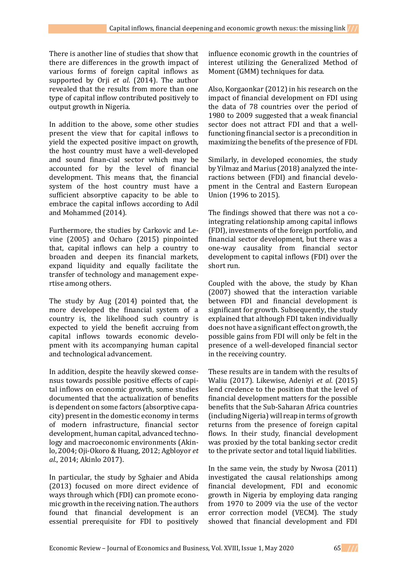There is another line of studies that show that there are differences in the growth impact of various forms of foreign capital inflows as supported by Orji *et al*. (2014). The author revealed that the results from more than one type of capital inflow contributed positively to output growth in Nigeria.

In addition to the above, some other studies present the view that for capital inflows to yield the expected positive impact on growth, the host country must have a well-developed and sound finan-cial sector which may be accounted for by the level of financial development. This means that, the financial system of the host country must have a sufficient absorptive capacity to be able to embrace the capital inflows according to Adil and Mohammed (2014).

Furthermore, the studies by Carkovic and Levine (2005) and Ocharo (2015) pinpointed that, capital inflows can help a country to broaden and deepen its financial markets, expand liquidity and equally facilitate the transfer of technology and management expertise among others.

The study by Aug (2014) pointed that, the more developed the financial system of a country is, the likelihood such country is expected to yield the benefit accruing from capital inflows towards economic development with its accompanying human capital and technological advancement.

In addition, despite the heavily skewed consensus towards possible positive effects of capital inflows on economic growth, some studies documented that the actualization of benefits is dependent on some factors (absorptive capacity) present in the domestic economy in terms of modern infrastructure, financial sector development, human capital, advanced technology and macroeconomic environments (Akinlo, 2004; Oji-Okoro & Huang, 2012; Agbloyor *et al*., 2014; Akinlo 2017).

In particular, the study by Sghaier and Abida (2013) focused on more direct evidence of ways through which (FDI) can promote economic growth in the receiving nation. The authors found that financial development is an essential prerequisite for FDI to positively

influence economic growth in the countries of interest utilizing the Generalized Method of Moment (GMM) techniques for data.

Also, Korgaonkar (2012) in his research on the impact of financial development on FDI using the data of 78 countries over the period of 1980 to 2009 suggested that a weak financial sector does not attract FDI and that a wellfunctioning financial sector is a precondition in maximizing the benefits of the presence of FDI.

Similarly, in developed economies, the study by Yilmaz and Marius (2018) analyzed the interactions between (FDI) and financial development in the Central and Eastern European Union (1996 to 2015).

The findings showed that there was not a cointegrating relationship among capital inflows (FDI), investments of the foreign portfolio, and financial sector development, but there was a one-way causality from financial sector development to capital inflows (FDI) over the short run.

Coupled with the above, the study by Khan (2007) showed that the interaction variable between FDI and financial development is significant for growth. Subsequently, the study explained that although FDI taken individually does not have a significant effect on growth, the possible gains from FDI will only be felt in the presence of a well-developed financial sector in the receiving country.

These results are in tandem with the results of Waliu (2017). Likewise, Adeniyi *et al*. (2015) lend credence to the position that the level of financial development matters for the possible benefits that the Sub-Saharan Africa countries (including Nigeria) will reap in terms of growth returns from the presence of foreign capital flows. In their study, financial development was proxied by the total banking sector credit to the private sector and total liquid liabilities.

In the same vein, the study by Nwosa (2011) investigated the causal relationships among financial development, FDI and economic growth in Nigeria by employing data ranging from 1970 to 2009 via the use of the vector error correction model (VECM). The study showed that financial development and FDI

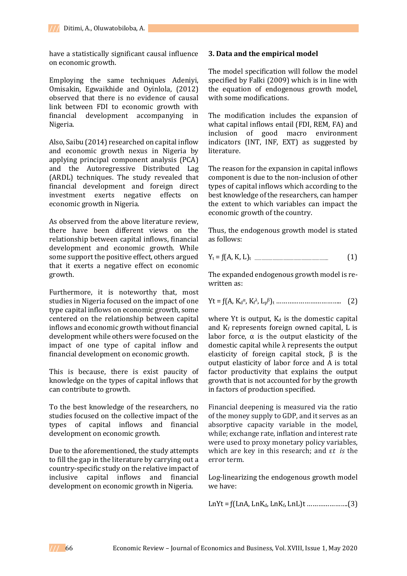have a statistically significant causal influence on economic growth.

Employing the same techniques Adeniyi, Omisakin, Egwaikhide and Oyinlola, (2012) observed that there is no evidence of causal link between FDI to economic growth with financial development accompanying in Nigeria.

Also, Saibu (2014) researched on capital inflow and economic growth nexus in Nigeria by applying principal component analysis (PCA) and the Autoregressive Distributed Lag (ARDL) techniques. The study revealed that financial development and foreign direct investment exerts negative effects on economic growth in Nigeria.

As observed from the above literature review, there have been different views on the relationship between capital inflows, financial development and economic growth. While some support the positive effect, others argued that it exerts a negative effect on economic growth.

Furthermore, it is noteworthy that, most studies in Nigeria focused on the impact of one type capital inflows on economic growth, some centered on the relationship between capital inflows and economic growth without financial development while others were focused on the impact of one type of capital inflow and financial development on economic growth.

This is because, there is exist paucity of knowledge on the types of capital inflows that can contribute to growth.

To the best knowledge of the researchers, no studies focused on the collective impact of the types of capital inflows and financial development on economic growth.

Due to the aforementioned, the study attempts to fill the gap in the literature by carrying out a country-specific study on the relative impact of inclusive capital inflows and financial development on economic growth in Nigeria.

## **3. Data and the empirical model**

The model specification will follow the model specified by Falki (2009) which is in line with the equation of endogenous growth model, with some modifications.

The modification includes the expansion of what capital inflows entail (FDI, REM, FA) and inclusion of good macro environment indicators (INT, INF, EXT) as suggested by literature.

The reason for the expansion in capital inflows component is due to the non-inclusion of other types of capital inflows which according to the best knowledge of the researchers, can hamper the extent to which variables can impact the economic growth of the country.

Thus, the endogenous growth model is stated as follows:

$$
Y_t = f(A, K, L)_t
$$
 (1)

The expanded endogenous growth model is rewritten as:

$$
Yt = f(A, K_d^{\alpha}, K_f^{\lambda}, L_p^{\beta})_t \dots \dots \dots \dots \dots \dots \dots \dots \dots \dots \dots \dots \tag{2}
$$

where Yt is output,  $K_d$  is the domestic capital and  $K_f$  represents foreign owned capital,  $L$  is labor force,  $\alpha$  is the output elasticity of the domestic capital while λ represents the output elasticity of foreign capital stock,  $\beta$  is the output elasticity of labor force and A is total factor productivity that explains the output growth that is not accounted for by the growth in factors of production specified.

Financial deepening is measured via the ratio of the money supply to GDP, and it serves as an absorptive capacity variable in the model, while; exchange rate, inflation and interest rate were used to proxy monetary policy variables, which are key in this research; and ε*t is* the error term.

Log-linearizing the endogenous growth model we have:

LnYt = ƒ(LnA, LnKd, LnKf, LnL)t ………………….(3)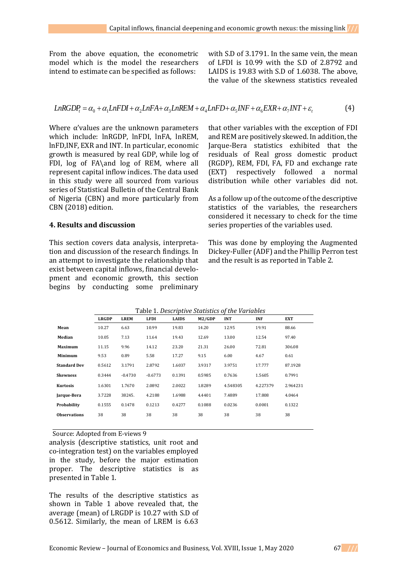From the above equation, the econometric model which is the model the researchers intend to estimate can be specified as follows:

with S.D of 3.1791. In the same vein, the mean of LFDI is 10.99 with the S.D of 2.8792 and LAIDS is 19.83 with S.D of 1.6038. The above, the value of the skewness statistics revealed

$$
LnRGDP_t = \alpha_0 + \alpha_1 LnFDI + \alpha_2 LnFA + \alpha_3 LnREM + \alpha_4 LnFD + \alpha_5 INF + \alpha_6 EXP + \alpha_7 INT + \varepsilon_t
$$
\n
$$
\tag{4}
$$

Where α'values are the unknown parameters which include: lnRGDP, lnFDI, lnFA, lnREM, lnFD,INF, EXR and INT. In particular, economic growth is measured by real GDP, while log of FDI, log of FA\and log of REM, where all represent capital inflow indices. The data used in this study were all sourced from various series of Statistical Bulletin of the Central Bank of Nigeria (CBN) and more particularly from CBN (2018) edition.

#### **4. Results and discussion**

This section covers data analysis, interpretation and discussion of the research findings. In an attempt to investigate the relationship that exist between capital inflows, financial development and economic growth, this section begins by conducting some preliminary that other variables with the exception of FDI and REM are positively skewed. In addition, the Jarque-Bera statistics exhibited that the residuals of Real gross domestic product (RGDP), REM, FDI, FA, FD and exchange rate (EXT) respectively followed a normal distribution while other variables did not.

As a follow up of the outcome of the descriptive statistics of the variables, the researchers considered it necessary to check for the time series properties of the variables used.

This was done by employing the Augmented Dickey-Fuller (ADF) and the Phillip Perron test and the result is as reported in Table 2.

|                     | Table 1. Descriptive Statistics of the Variables |             |             |              |        |            |            |          |  |
|---------------------|--------------------------------------------------|-------------|-------------|--------------|--------|------------|------------|----------|--|
|                     | <b>LRGDP</b>                                     | <b>LREM</b> | <b>LFDI</b> | <b>LAIDS</b> | M2/GDP | <b>INT</b> | <b>INF</b> | EXT      |  |
| Mean                | 10.27                                            | 6.63        | 10.99       | 19.83        | 14.20  | 12.95      | 19.91      | 88.66    |  |
| Median              | 10.05                                            | 7.13        | 11.64       | 19.43        | 12.69  | 13.00      | 12.54      | 97.40    |  |
| <b>Maximum</b>      | 11.15                                            | 9.96        | 14.12       | 23.20        | 21.31  | 26.00      | 72.81      | 306.08   |  |
| Minimum             | 9.53                                             | 0.89        | 5.58        | 17.27        | 9.15   | 6.00       | 4.67       | 0.61     |  |
| <b>Standard Dev</b> | 0.5612                                           | 3.1791      | 2.8792      | 1.6037       | 3.9317 | 3.9751     | 17.777     | 87.1928  |  |
| <b>Skewness</b>     | 0.3444                                           | $-0.4730$   | $-0.6773$   | 0.1391       | 0.5985 | 0.7636     | 1.5605     | 0.7991   |  |
| Kurtosis            | 1.6301                                           | 1.7670      | 2.0892      | 2.0022       | 1.8289 | 4.548305   | 4.227379   | 2.964231 |  |
| Jarque-Bera         | 3.7228                                           | 38245.      | 4.2188      | 1.6988       | 4.4401 | 7.4889     | 17.808     | 4.0464   |  |
| Probability         | 0.1555                                           | 0.1478      | 0.1213      | 0.4277       | 0.1088 | 0.0236     | 0.0001     | 0.1322   |  |
| <b>Observations</b> | 38                                               | 38          | 38          | 38           | 38     | 38         | 38         | 38       |  |
|                     |                                                  |             |             |              |        |            |            |          |  |

### Table 1. *Descriptive Statistics of the Variables*

Source: Adopted from E-views 9

analysis (descriptive statistics, unit root and co-integration test) on the variables employed in the study, before the major estimation proper. The descriptive statistics is as presented in Table 1.

The results of the descriptive statistics as shown in Table 1 above revealed that, the average (mean) of LRGDP is 10.27 with S.D of 0.5612. Similarly, the mean of LREM is 6.63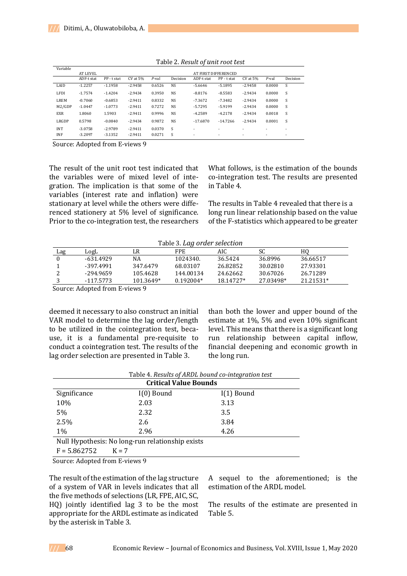| Variable   |                 |             |              |          |           |            |                      |           |                          |          |
|------------|-----------------|-------------|--------------|----------|-----------|------------|----------------------|-----------|--------------------------|----------|
|            | <b>AT LEVEL</b> |             |              |          |           |            | AT FIRST DIFFERENCED |           |                          |          |
|            | ADF-t stat      | PP - t stat | $CV$ at $5%$ | $P$ -val | Decision  | ADF-t stat | PP - t stat          | CV at 5%  | $P$ -val                 | Decision |
| LAID       | $-1.2257$       | $-1.1958$   | $-2.9458$    | 0.6526   | <b>NS</b> | $-5.6646$  | $-5.1895$            | $-2.9458$ | 0.0000                   | S        |
| LFDI       | $-1.7574$       | $-1.4204$   | $-2.9434$    | 0.3950   | <b>NS</b> | $-8.8176$  | $-8.5583$            | $-2.9434$ | 0.0000                   | S        |
| LREM       | $-0.7060$       | $-0.6853$   | $-2.9411$    | 0.8332   | <b>NS</b> | $-7.3672$  | $-7.3482$            | $-2.9434$ | 0.0000                   | S        |
| M2/GDP     | $-1.0447$       | $-1.0773$   | $-2.9411$    | 0.7272   | <b>NS</b> | $-5.7295$  | $-5.9199$            | $-2.9434$ | 0.0000                   | S        |
| <b>EXR</b> | 1.8060          | 1.5903      | $-2.9411$    | 0.9996   | <b>NS</b> | $-4.2589$  | $-4.2178$            | $-2.9434$ | 0.0018                   | S        |
| LRGDP      | 0.5798          | $-0.0840$   | $-2.9434$    | 0.9872   | <b>NS</b> | $-17.6870$ | $-14.7266$           | $-2.9434$ | 0.0001                   | S        |
| <b>INT</b> | $-3.0758$       | $-2.9789$   | $-2.9411$    | 0.0370   | S         | ٠          | ۰                    | ٠         | $\overline{\phantom{a}}$ | ٠        |
| <b>INF</b> | $-3.2097$       | $-3.1352$   | $-2.9411$    | 0.0271   | S         | ٠          |                      | ٠         | $\overline{\phantom{a}}$ | ۰        |

Table 2. *Result of unit root test*

Source: Adopted from E-views 9

The result of the unit root test indicated that the variables were of mixed level of integration. The implication is that some of the variables (interest rate and inflation) were stationary at level while the others were differenced stationery at 5% level of significance. Prior to the co-integration test, the researchers

What follows, is the estimation of the bounds co-integration test. The results are presented in Table 4.

The results in Table 4 revealed that there is a long run linear relationship based on the value of the F-statistics which appeared to be greater

| Table 3. Lag order selection |  |  |
|------------------------------|--|--|
|------------------------------|--|--|

| Lag | LogL        | LR        | <b>FPE</b>  | AIC        | SC        | HО        |  |
|-----|-------------|-----------|-------------|------------|-----------|-----------|--|
|     | $-631.4929$ | NA        | 1024340.    | 36.5424    | 36.8996   | 36.66517  |  |
|     | -397.4991   | 347.6479  | 68.03107    | 26.82852   | 30.02810  | 27.93301  |  |
|     | $-294.9659$ | 105.4628  | 144.00134   | 24.62662   | 30.67026  | 26.71289  |  |
|     | -117.5773   | 101.3649* | $0.192004*$ | 18.1472.7* | 27.03498* | 21.21531* |  |

Source: Adopted from E-views 9

deemed it necessary to also construct an initial VAR model to determine the lag order/length to be utilized in the cointegration test, because, it is a fundamental pre-requisite to conduct a cointegration test. The results of the lag order selection are presented in Table 3.

than both the lower and upper bound of the estimate at 1%, 5% and even 10% significant level. This means that there is a significant long run relationship between capital inflow, financial deepening and economic growth in the long run.

| Table 4. Results of ARDL bound co-integration test |                              |              |  |  |  |  |
|----------------------------------------------------|------------------------------|--------------|--|--|--|--|
|                                                    | <b>Critical Value Bounds</b> |              |  |  |  |  |
| Significance                                       | $I(0)$ Bound                 | $I(1)$ Bound |  |  |  |  |
| 10%                                                | 2.03                         | 3.13         |  |  |  |  |
| 5%                                                 | 2.32                         | 3.5          |  |  |  |  |
| 2.5%                                               | 2.6                          | 3.84         |  |  |  |  |
| $1\%$                                              | 2.96                         | 4.26         |  |  |  |  |
| Null Hypothesis: No long-run relationship exists   |                              |              |  |  |  |  |
| $F = 5.862752$                                     | $K = 7$                      |              |  |  |  |  |

Source: Adopted from E-views 9

The result of the estimation of the lag structure of a system of VAR in levels indicates that all the five methods of selections (LR, FPE, AIC, SC, HQ) jointly identified lag 3 to be the most appropriate for the ARDL estimate as indicated by the asterisk in Table 3.

A sequel to the aforementioned; is the estimation of the ARDL model.

The results of the estimate are presented in Table 5.

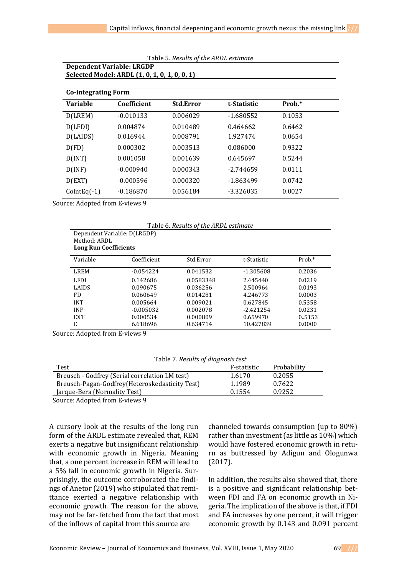| Dependent variable: LRGDP<br>Selected Model: ARDL (1, 0, 1, 0, 1, 0, 0, 1) |             |                  |             |        |  |
|----------------------------------------------------------------------------|-------------|------------------|-------------|--------|--|
|                                                                            |             |                  |             |        |  |
| <b>Co-integrating Form</b>                                                 |             |                  |             |        |  |
| <b>Variable</b>                                                            | Coefficient | <b>Std.Error</b> | t-Statistic | Prob.* |  |
| D(LREM)                                                                    | $-0.010133$ | 0.006029         | $-1.680552$ | 0.1053 |  |
| D(LFDI)                                                                    | 0.004874    | 0.010489         | 0.464662    | 0.6462 |  |
| D(LAIDS)                                                                   | 0.016944    | 0.008791         | 1.927474    | 0.0654 |  |
| D(FD)                                                                      | 0.000302    | 0.003513         | 0.086000    | 0.9322 |  |
| D(INT)                                                                     | 0.001058    | 0.001639         | 0.645697    | 0.5244 |  |
| D(INF)                                                                     | $-0.000940$ | 0.000343         | $-2.744659$ | 0.0111 |  |
| D(EXT)                                                                     | $-0.000596$ | 0.000320         | -1.863499   | 0.0742 |  |
| $CointEq(-1)$                                                              | $-0.186870$ | 0.056184         | $-3.326035$ | 0.0027 |  |

Table 5. *Results of the ARDL estimate*

**Dependent Variable: LRGDP**

Source: Adopted from E-views 9

Table 6. *Results of the ARDL estimate*

| Method: ARDL<br><b>Long Run Coefficients</b> | Dependent Variable: D(LRGDP) |           |             |        |
|----------------------------------------------|------------------------------|-----------|-------------|--------|
| Variable                                     | Coefficient                  | Std.Error | t-Statistic | Prob.* |
| LREM                                         | $-0.054224$                  | 0.041532  | $-1.305608$ | 0.2036 |
| LFDI.                                        | 0.142686                     | 0.0583348 | 2.445440    | 0.0219 |
| <b>LAIDS</b>                                 | 0.090675                     | 0.036256  | 2.500964    | 0.0193 |
| FD                                           | 0.060649                     | 0.014281  | 4.246773    | 0.0003 |
| <b>INT</b>                                   | 0.005664                     | 0.009021  | 0.627845    | 0.5358 |
| <b>INF</b>                                   | $-0.005032$                  | 0.002078  | $-2.421254$ | 0.0231 |
| <b>EXT</b>                                   | 0.000534                     | 0.000809  | 0.659970    | 0.5153 |
| C                                            | 6.618696                     | 0.634714  | 10.427839   | 0.0000 |

Source: Adopted from E-views 9

Table 7. *Results of diagnosis test*

| Test                                           | F-statistic | Probability |
|------------------------------------------------|-------------|-------------|
| Breusch - Godfrey (Serial correlation LM test) | 1.6170      | 0.2055      |
| Breusch-Pagan-Godfrey(Heteroskedasticity Test) | 1.1989      | 0.7622      |
| Jarque-Bera (Normality Test)                   | 0.1554      | 0.9252      |

Source: Adopted from E-views 9

A cursory look at the results of the long run form of the ARDL estimate revealed that, REM exerts a negative but insignificant relationship with economic growth in Nigeria. Meaning that, a one percent increase in REM will lead to a 5% fall in economic growth in Nigeria. Surprisingly, the outcome corroborated the findings of Anetor (2019) who stipulated that remittance exerted a negative relationship with economic growth. The reason for the above, may not be far- fetched from the fact that most of the inflows of capital from this source are

channeled towards consumption (up to 80%) rather than investment (as little as 10%) which would have fostered economic growth in return as buttressed by Adigun and Ologunwa (2017).

In addition, the results also showed that, there is a positive and significant relationship between FDI and FA on economic growth in Nigeria. The implication of the above is that, if FDI and FA increases by one percent, it will trigger economic growth by 0.143 and 0.091 percent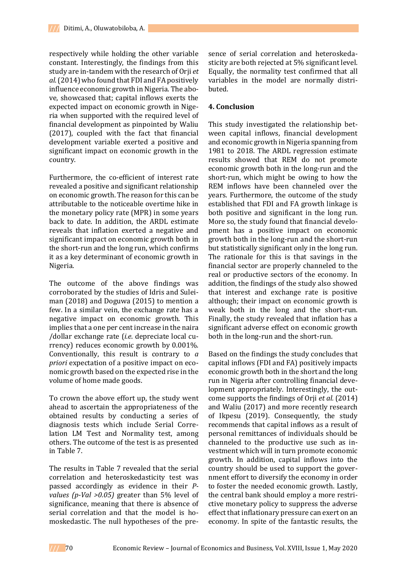respectively while holding the other variable constant. Interestingly, the findings from this study are in-tandem with the research of Orji *et al.*(2014) who found that FDI and FA positively influence economic growth in Nigeria. The above, showcased that; capital inflows exerts the expected impact on economic growth in Nigeria when supported with the required level of financial development as pinpointed by Waliu (2017), coupled with the fact that financial development variable exerted a positive and significant impact on economic growth in the country.

Furthermore, the co-efficient of interest rate revealed a positive and significant relationship on economic growth. The reason for this can be attributable to the noticeable overtime hike in the monetary policy rate (MPR) in some years back to date. In addition, the ARDL estimate reveals that inflation exerted a negative and significant impact on economic growth both in the short-run and the long run, which confirms it as a key determinant of economic growth in Nigeria.

The outcome of the above findings was corroborated by the studies of Idris and Suleiman (2018) and Doguwa (2015) to mention a few. In a similar vein, the exchange rate has a negative impact on economic growth. This implies that a one per cent increase in the naira /dollar exchange rate (*i.e*. depreciate local currency) reduces economic growth by 0.001%. Conventionally, this result is contrary to *a priori* expectation of a positive impact on economic growth based on the expected rise in the volume of home made goods.

To crown the above effort up, the study went ahead to ascertain the appropriateness of the obtained results by conducting a series of diagnosis tests which include Serial Correlation LM Test and Normality test, among others. The outcome of the test is as presented in Table 7.

The results in Table 7 revealed that the serial correlation and heteroskedasticity test was passed accordingly as evidence in their *Pvalues (p-Val >0.05)* greater than 5% level of significance, meaning that there is absence of serial correlation and that the model is homoskedastic. The null hypotheses of the presence of serial correlation and heteroskedasticity are both rejected at 5% significant level. Equally, the normality test confirmed that all variables in the model are normally distributed.

### **4. Conclusion**

This study investigated the relationship between capital inflows, financial development and economic growth in Nigeria spanning from 1981 to 2018. The ARDL regression estimate results showed that REM do not promote economic growth both in the long-run and the short-run, which might be owing to how the REM inflows have been channeled over the years. Furthermore, the outcome of the study established that FDI and FA growth linkage is both positive and significant in the long run. More so, the study found that financial development has a positive impact on economic growth both in the long-run and the short-run but statistically significant only in the long run. The rationale for this is that savings in the financial sector are properly channeled to the real or productive sectors of the economy. In addition, the findings of the study also showed that interest and exchange rate is positive although; their impact on economic growth is weak both in the long and the short-run. Finally, the study revealed that inflation has a significant adverse effect on economic growth both in the long-run and the short-run.

Based on the findings the study concludes that capital inflows (FDI and FA) positively impacts economic growth both in the short and the long run in Nigeria after controlling financial development appropriately. Interestingly, the outcome supports the findings of Orji *et al.* (2014) and Waliu (2017) and more recently research of Ikpesu (2019). Consequently, the study recommends that capital inflows as a result of personal remittances of individuals should be channeled to the productive use such as investment which will in turn promote economic growth. In addition, capital inflows into the country should be used to support the government effort to diversify the economy in order to foster the needed economic growth. Lastly, the central bank should employ a more restrictive monetary policy to suppress the adverse effect that inflationary pressure can exert on an economy. In spite of the fantastic results, the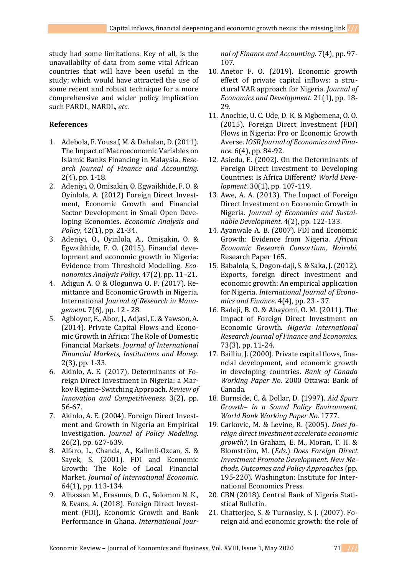study had some limitations. Key of all, is the unavailabilty of data from some vital African countries that will have been useful in the study; which would have attracted the use of some recent and robust technique for a more comprehensive and wider policy implication such PARDL, NARDL, *etc*.

# **References**

- 1. Adebola, F. Yousaf, M. & Dahalan, D. (2011). The Impact of Macroeconomic Variables on Islamic Banks Financing in Malaysia. *Research Journal of Finance and Accounting.* 2(4), pp. 1-18.
- 2. Adeniyi, O. Omisakin, O. Egwaikhide, F. O. & Oyinlola, A. (2012) Foreign Direct Investment, Economic Growth and Financial Sector Development in Small Open Developing Economies. *Economic Analysis and Policy,* 42(1), pp. 21-34.
- 3. Adeniyi, O., Oyinlola, A., Omisakin, O. & Egwaikhide, F. O. (2015). Financial development and economic growth in Nigeria: Evidence from Threshold Modelling. *Econonomics Analysis Policy.* 47(2), pp. 11–21.
- 4. Adigun A. O & Ologunwa O. P. (2017). Remittance and Economic Growth in Nigeria. International *Journal of Research in Management.* 7(6), pp. 12 - 28.
- 5. Agbloyor, E., Abor, J., Adjasi, C. & Yawson, A. (2014). Private Capital Flows and Economic Growth in Africa: The Role of Domestic Financial Markets. *Journal of International Financial Markets, Institutions and Money.* 2(3), pp. 1-33.
- 6. Akinlo, A. E. (2017). Determinants of Foreign Direct Investment In Nigeria: a Markov Regime-Switching Approach. *Review of Innovation and Competitiveness.* 3(2), pp. 56-67.
- 7. Akinlo, A. E. (2004). Foreign Direct Investment and Growth in Nigeria an Empirical Investigation. *Journal of Policy Modeling.*  26(2), pp. 627-639.
- 8. Alfaro, L., Chanda, A., Kalimli-Ozcan, S. & Sayek, S. (2001). FDI and Economic Growth: The Role of Local Financial Market. *Journal of International Economic.*  64(1), pp. 113-134.
- 9. Alhassan M., Erasmus, D. G., Solomon N. K., & Evans, A. (2018). Foreign Direct Investment (FDI), Economic Growth and Bank Performance in Ghana. *International Jour-*

*nal of Finance and Accounting.* 7(4), pp. 97- 107.

- 10. Anetor F. O. (2019). Economic growth effect of private capital inflows: a structural VAR approach for Nigeria. *Journal of Economics and Development.* 21(1), pp. 18- 29.
- 11. Anochie, U. C. Ude, D. K. & Mgbemena, O. O. (2015). Foreign Direct Investment (FDI) Flows in Nigeria: Pro or Economic Growth Averse. *IOSR Journal of Economics and Finance.* 6(4), pp. 84-92.
- 12. Asiedu, E. (2002). On the Determinants of Foreign Direct Investment to Developing Countries: Is Africa Different? *World Development*. 30(1), pp. 107-119.
- 13. Awe, A. A. (2013). The Impact of Foreign Direct Investment on Economic Growth in Nigeria. *Journal of Economics and Sustainable Development.* 4(2), pp. 122-133.
- 14. Ayanwale A. B. (2007). FDI and Economic Growth: Evidence from Nigeria. *African Economic Research Consortium, Nairobi.*  Research Paper 165.
- 15. Babalola, S., Dogon-daji, S. & Saka, J. (2012). Exports, foreign direct investment and economic growth: An empirical application for Nigeria. *International Journal of Economics and Finance*. 4(4), pp. 23 - 37.
- 16. Badeji, B. O. & Abayomi, O. M. (2011). The Impact of Foreign Direct Investment on Economic Growth. *Nigeria International Research Journal of Finance and Economics.*  73(3), pp. 11-24.
- 17. Bailliu, J. (2000). Private capital flows, financial development, and economic growth in developing countries. *Bank of Canada Working Paper No.* 2000 Ottawa: Bank of Canada.
- 18. Burnside, C. & Dollar, D. (1997). *Aid Spurs Growth– in a Sound Policy Environment. World Bank Working Paper No.* 1777*.*
- 19. Carkovic, M. & Levine, R. (2005). *Does foreign direct investment accelerate economic growth?*, In Graham, E. M., Moran, T. H. & Blomström, M. (*Eds*.) *Does Foreign Direct Investment Promote Development: New Methods, Outcomes and Policy Approaches* (pp. 195-220). Washington: Institute for International Economics Press.
- 20. CBN (2018). Central Bank of Nigeria Statistical Bulletin.
- 21. Chatterjee, S. & Turnosky, S. J. (2007). Foreign aid and economic growth: the role of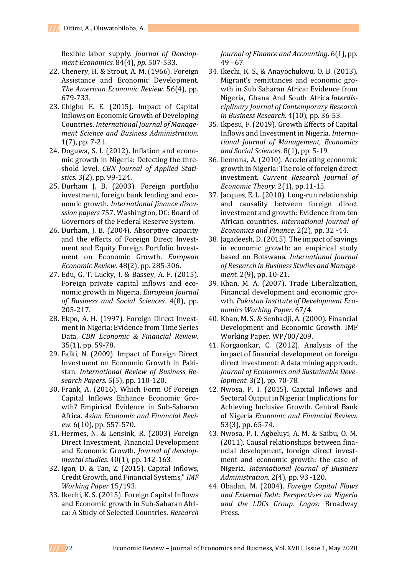flexible labor supply. *Journal of Development Economics.* 84(4), *pp.* 507-533.

- 22. Chenery, H. & Strout, A. M. (1966). Foreign Assistance and Economic Development. *The American Economic Review.* 56(4), pp. 679-733.
- 23. Chigbu E. E. (2015). Impact of Capital Inflows on Economic Growth of Developing Countries. *International Journal of Management Science and Business Administration.*  1(7), pp. 7-21.
- 24. Doguwa, S. I. (2012). Inflation and economic growth in Nigeria: Detecting the threshold level, *CBN Journal of Applied Statistics.* 3(2), pp. 99-124.
- 25. Durham J. B. (2003). Foreign portfolio investment, foreign bank lending and economic growth. *International finance discussion papers* 757. Washington, DC: Board of Governors of the Federal Reserve System.
- 26. Durham, J. B. (2004). Absorptive capacity and the effects of Foreign Direct Investment and Equity Foreign Portfolio Investment on Economic Growth. *European Economic Review.* 48(2), pp. 285-306.
- 27. Edu, G. T. Lucky, I. & Bassey, A. F. (2015). Foreign private capital inflows and economic growth in Nigeria. *European Journal of Business and Social Sciences.* 4(8), pp. 205-217.
- 28. Ekpo, A. H. (1997). Foreign Direct Investment in Nigeria: Evidence from Time Series Data. *CBN Economic & Financial Review.*  35(1), pp. 59-78.
- 29. Falki, N. (2009). Impact of Foreign Direct Investment on Economic Growth in Pakistan. *International Review of Business Research Papers.* 5(5), pp. 110-120.
- 30. Frank, A. (2016). Which Form Of Foreign Capital Inflows Enhance Economic Growth? Empirical Evidence in Sub-Saharan Africa. *Asian Economic and Financial Review.* 6(10), pp. 557-570.
- 31. Hermes, N. & Lensink, R. (2003) Foreign Direct Investment, Financial Development and Economic Growth. *Journal of developmental studies*. 40(1), pp. 142-163.
- 32. Igan, D. & Tan, Z. (2015). Capital Inflows, Credit Growth, and Financial Systems," *IMF Working Paper* 15/193.
- 33. Ikechi, K. S. (2015). Foreign Capital Inflows and Economic growth in Sub-Saharan Africa: A Study of Selected Countries. *Research*

*Journal of Finance and Accounting*. 6(1), pp. 49 - 67.

- 34. Ikechi, K. S., & Anayochukwu, O. B. (2013). Migrant's remittances and economic growth in Sub Saharan Africa: Evidence from Nigeria, Ghana And South Africa.*Interdisciplinary Journal of Contemporary Research in Business Research.* 4(10), pp. 36-53.
- 35. [Ikpesu,](https://papers.ssrn.com/sol3/cf_dev/AbsByAuth.cfm?per_id=2514000) F. (2019). Growth Effects of Capital Inflows and Investment in Nigeria. *International Journal of Management, Economics and Social Sciences.* 8(1), pp. 5-19.
- 36. Ilemona, A. (2010). Accelerating economic growth in Nigeria: The role of foreign direct investment. *Current Research Journal of Economic Theory.* 2(1), pp.11-15.
- 37. Jacques, E. L. (2010). Long-run relationship and causality between foreign direct investment and growth: Evidence from ten African countries. *International Journal of Economics and Finance.* 2(2), pp. 32 -44.
- 38. Jagadeesh, D. (2015). The impact of savings in economic growth: an empirical study based on Botswana. *International Journal of Research in Business Studies and Management.* 2(9), pp. 10-21.
- 39. Khan, M. A. (2007). Trade Liberalization, Financial development and economic growth. *Pakistan Institute of Development Economics Working Paper.* 67/4.
- 40. Khan, M. S. & Senhadji, A. (2000). Financial Development and Economic Growth. IMF Working Paper. WP/00/209.
- 41. Korgaonkar, C. (2012). Analysis of the impact of financial development on foreign direct investment: A data mining approach. *Journal of Economics and Sustainable Development.* 3(2), pp. 70-78.
- 42. Nwosa, P. I. (2015). Capital Inflows and Sectoral Output in Nigeria: Implications for Achieving Inclusive Growth. Central Bank of Nigeria *Economic and Financial Review.*  53(3), pp. 65-74.
- 43. Nwosa, P. I. Agbeluyi, A. M. & Saibu, O. M. (2011). Causal relationships between financial development, foreign direct investment and economic growth: the case of Nigeria. *International Journal of Business Administration.* 2(4), pp. 93 -120.
- 44. Obadan, M. (2004). *Foreign Capital Flows and External Debt: Perspectives on Nigeria and the LDCs Group. Lagos:* Broadway Press.